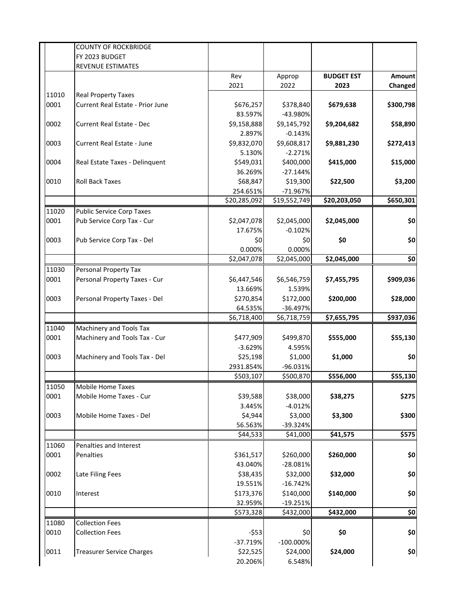|       | <b>COUNTY OF ROCKBRIDGE</b>       |              |                     |                   |           |
|-------|-----------------------------------|--------------|---------------------|-------------------|-----------|
|       | FY 2023 BUDGET                    |              |                     |                   |           |
|       | <b>REVENUE ESTIMATES</b>          |              |                     |                   |           |
|       |                                   | Rev          | Approp              | <b>BUDGET EST</b> | Amount    |
|       |                                   | 2021         | 2022                | 2023              | Changed   |
| 11010 | <b>Real Property Taxes</b>        |              |                     |                   |           |
| 0001  | Current Real Estate - Prior June  | \$676,257    | \$378,840           | \$679,638         | \$300,798 |
|       |                                   | 83.597%      | -43.980%            |                   |           |
| 0002  | <b>Current Real Estate - Dec</b>  | \$9,158,888  | \$9,145,792         | \$9,204,682       | \$58,890  |
|       |                                   | 2.897%       | $-0.143%$           |                   |           |
| 0003  | <b>Current Real Estate - June</b> | \$9,832,070  | \$9,608,817         | \$9,881,230       | \$272,413 |
|       |                                   | 5.130%       | $-2.271%$           |                   |           |
| 0004  | Real Estate Taxes - Delinquent    | \$549,031    | \$400,000           | \$415,000         | \$15,000  |
|       |                                   | 36.269%      | $-27.144%$          |                   |           |
| 0010  | <b>Roll Back Taxes</b>            | \$68,847     | \$19,300            | \$22,500          | \$3,200   |
|       |                                   | 254.651%     | $-71.967%$          |                   |           |
|       |                                   | \$20,285,092 | \$19,552,749        | \$20,203,050      | \$650,301 |
| 11020 | <b>Public Service Corp Taxes</b>  |              |                     |                   |           |
| 0001  | Pub Service Corp Tax - Cur        | \$2,047,078  | \$2,045,000         | \$2,045,000       | \$0       |
|       |                                   | 17.675%      | $-0.102%$           |                   |           |
| 0003  | Pub Service Corp Tax - Del        | \$0          | \$0                 | \$0               | \$0       |
|       |                                   | 0.000%       | 0.000%              |                   |           |
|       |                                   | \$2,047,078  | \$2,045,000         | \$2,045,000       | \$0       |
| 11030 | Personal Property Tax             |              |                     |                   |           |
| 0001  | Personal Property Taxes - Cur     | \$6,447,546  | \$6,546,759         | \$7,455,795       | \$909,036 |
|       |                                   | 13.669%      | 1.539%              |                   |           |
| 0003  | Personal Property Taxes - Del     | \$270,854    | \$172,000           | \$200,000         | \$28,000  |
|       |                                   | 64.535%      | $-36.497%$          |                   |           |
|       |                                   | \$6,718,400  | \$6,718,759         | \$7,655,795       | \$937,036 |
| 11040 |                                   |              |                     |                   |           |
|       | Machinery and Tools Tax           |              |                     |                   |           |
| 0001  | Machinery and Tools Tax - Cur     | \$477,909    | \$499,870<br>4.595% | \$555,000         | \$55,130  |
|       |                                   | $-3.629%$    |                     |                   | \$0       |
| 0003  | Machinery and Tools Tax - Del     | \$25,198     | \$1,000             | \$1,000           |           |
|       |                                   | 2931.854%    | -96.031%            |                   |           |
|       |                                   | \$503,107    | \$500,870           | \$556,000         | \$55,130  |
| 11050 | Mobile Home Taxes                 |              |                     |                   |           |
| 0001  | Mobile Home Taxes - Cur           | \$39,588     | \$38,000            | \$38,275          | \$275     |
|       |                                   | 3.445%       | $-4.012%$           |                   |           |
| 0003  | Mobile Home Taxes - Del           | \$4,944      | \$3,000             | \$3,300           | \$300     |
|       |                                   | 56.563%      | -39.324%            |                   |           |
|       |                                   | \$44,533     | \$41,000            | \$41,575          | \$575     |
| 11060 | Penalties and Interest            |              |                     |                   |           |
| 0001  | Penalties                         | \$361,517    | \$260,000           | \$260,000         | \$0       |
|       |                                   | 43.040%      | $-28.081%$          |                   |           |
| 0002  | Late Filing Fees                  | \$38,435     | \$32,000            | \$32,000          | \$0       |
|       |                                   | 19.551%      | $-16.742%$          |                   |           |
| 0010  | Interest                          | \$173,376    | \$140,000           | \$140,000         | \$0       |
|       |                                   | 32.959%      | $-19.251%$          |                   |           |
|       |                                   | \$573,328    | \$432,000           | \$432,000         | \$0       |
| 11080 | <b>Collection Fees</b>            |              |                     |                   |           |
| 0010  | <b>Collection Fees</b>            | $-553$       | \$0                 | \$0               | \$0       |
|       |                                   | $-37.719%$   | $-100.000\%$        |                   |           |
| 0011  | <b>Treasurer Service Charges</b>  | \$22,525     | \$24,000            | \$24,000          | \$0       |
|       |                                   | 20.206%      | 6.548%              |                   |           |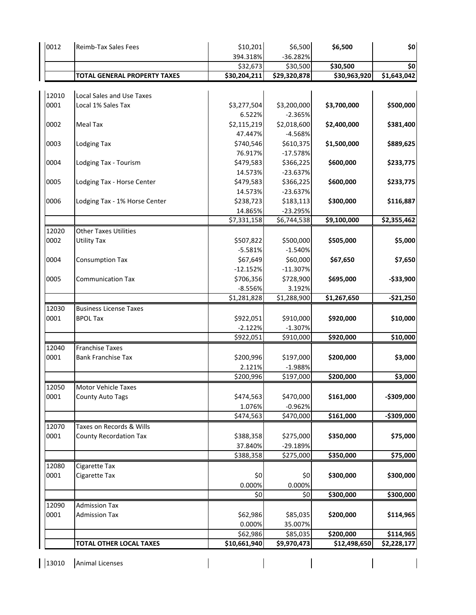| 0012  | Reimb-Tax Sales Fees                | \$10,201<br>394.318%     | \$6,500<br>$-36.282%$ | \$6,500      | \$0         |
|-------|-------------------------------------|--------------------------|-----------------------|--------------|-------------|
|       |                                     | \$32,673                 | \$30,500              | \$30,500     | \$0         |
|       | <b>TOTAL GENERAL PROPERTY TAXES</b> | \$30,204,211             | \$29,320,878          | \$30,963,920 | \$1,643,042 |
|       |                                     |                          |                       |              |             |
| 12010 | Local Sales and Use Taxes           |                          |                       |              |             |
| 0001  | Local 1% Sales Tax                  | \$3,277,504              | \$3,200,000           | \$3,700,000  | \$500,000   |
|       |                                     | 6.522%                   | $-2.365%$             |              |             |
| 0002  | <b>Meal Tax</b>                     | \$2,115,219              | \$2,018,600           | \$2,400,000  | \$381,400   |
|       |                                     | 47.447%                  | $-4.568%$             |              |             |
| 0003  | <b>Lodging Tax</b>                  | \$740,546                | \$610,375             | \$1,500,000  | \$889,625   |
|       |                                     | 76.917%                  | $-17.578%$            |              |             |
| 0004  | Lodging Tax - Tourism               | \$479,583                | \$366,225             | \$600,000    | \$233,775   |
|       |                                     | 14.573%                  | $-23.637%$            |              |             |
| 0005  | Lodging Tax - Horse Center          | \$479,583                | \$366,225             | \$600,000    | \$233,775   |
|       |                                     | 14.573%                  | $-23.637%$            |              |             |
| 0006  | Lodging Tax - 1% Horse Center       | \$238,723                | \$183,113             | \$300,000    | \$116,887   |
|       |                                     | 14.865%                  | $-23.295%$            |              |             |
|       |                                     | \$7,331,158              | \$6,744,538           | \$9,100,000  | \$2,355,462 |
| 12020 | <b>Other Taxes Utilities</b>        |                          |                       |              |             |
| 0002  | <b>Utility Tax</b>                  | \$507,822                | \$500,000             | \$505,000    | \$5,000     |
|       |                                     | $-5.581%$                | $-1.540%$             |              |             |
| 0004  | <b>Consumption Tax</b>              | \$67,649                 | \$60,000              | \$67,650     | \$7,650     |
|       |                                     | $-12.152%$               | $-11.307%$            |              |             |
| 0005  | <b>Communication Tax</b>            | \$706,356                | \$728,900             | \$695,000    | $-$33,900$  |
|       |                                     | $-8.556%$<br>\$1,281,828 | 3.192%<br>\$1,288,900 | \$1,267,650  | $-$21,250$  |
| 12030 | <b>Business License Taxes</b>       |                          |                       |              |             |
| 0001  | <b>BPOL Tax</b>                     | \$922,051                | \$910,000             | \$920,000    | \$10,000    |
|       |                                     | $-2.122%$                | $-1.307%$             |              |             |
|       |                                     | \$922,051                | \$910,000             | \$920,000    | \$10,000    |
| 12040 | <b>Franchise Taxes</b>              |                          |                       |              |             |
| 0001  | <b>Bank Franchise Tax</b>           | \$200,996                | \$197,000             | \$200,000    | \$3,000     |
|       |                                     | 2.121%                   | $-1.988%$             |              |             |
|       |                                     | \$200,996                | \$197,000             | \$200,000    | \$3,000     |
| 12050 | <b>Motor Vehicle Taxes</b>          |                          |                       |              |             |
| 0001  | <b>County Auto Tags</b>             | \$474,563                | \$470,000             | \$161,000    | -\$309,000  |
|       |                                     | 1.076%                   | $-0.962%$             |              |             |
|       |                                     | \$474,563                | \$470,000             | \$161,000    | -\$309,000  |
| 12070 | Taxes on Records & Wills            |                          |                       |              |             |
| 0001  | <b>County Recordation Tax</b>       | \$388,358                | \$275,000             | \$350,000    | \$75,000    |
|       |                                     | 37.840%                  | $-29.189%$            |              |             |
|       |                                     | \$388,358                | \$275,000             | \$350,000    | \$75,000    |
| 12080 | Cigarette Tax                       |                          |                       |              |             |
| 0001  | Cigarette Tax                       | \$0                      | \$0                   | \$300,000    | \$300,000   |
|       |                                     | 0.000%                   | 0.000%                |              |             |
|       |                                     | \$0                      | \$0                   | \$300,000    | \$300,000   |
| 12090 | <b>Admission Tax</b>                |                          |                       |              |             |
| 0001  | <b>Admission Tax</b>                | \$62,986                 | \$85,035              | \$200,000    | \$114,965   |
|       |                                     | 0.000%                   | 35.007%               |              |             |
|       |                                     | \$62,986                 | \$85,035              | \$200,000    | \$114,965   |
|       | <b>TOTAL OTHER LOCAL TAXES</b>      | \$10,661,940             | \$9,970,473           | \$12,498,650 | \$2,228,177 |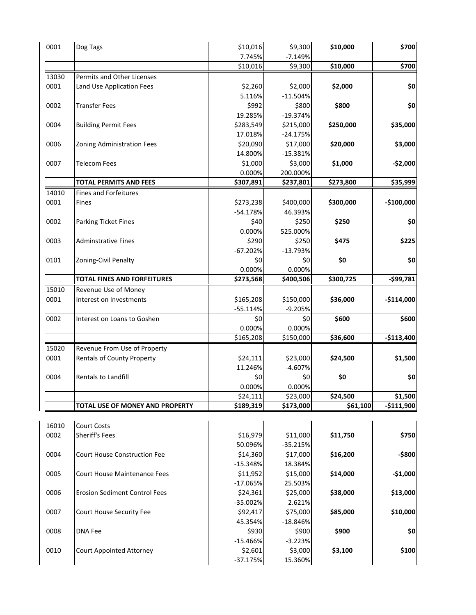| 0001  | Dog Tags                             | \$10,016<br>7.745% | \$9,300<br>$-7.149%$ | \$10,000  | \$700       |
|-------|--------------------------------------|--------------------|----------------------|-----------|-------------|
|       |                                      | \$10,016           | \$9,300              | \$10,000  | \$700       |
| 13030 | Permits and Other Licenses           |                    |                      |           |             |
| 0001  | Land Use Application Fees            | \$2,260            | \$2,000              | \$2,000   | \$0         |
|       |                                      | 5.116%             | $-11.504%$           |           |             |
| 0002  | <b>Transfer Fees</b>                 | \$992              | \$800                | \$800     | \$0         |
|       |                                      | 19.285%            | $-19.374%$           |           |             |
| 0004  | <b>Building Permit Fees</b>          | \$283,549          | \$215,000            | \$250,000 | \$35,000    |
|       |                                      | 17.018%            | $-24.175%$           |           |             |
| 0006  | <b>Zoning Administration Fees</b>    | \$20,090           | \$17,000             | \$20,000  | \$3,000     |
|       |                                      | 14.800%            | $-15.381%$           |           |             |
| 0007  | <b>Telecom Fees</b>                  | \$1,000            | \$3,000              | \$1,000   | $-$2,000$   |
|       |                                      | 0.000%             | 200.000%             |           |             |
|       | <b>TOTAL PERMITS AND FEES</b>        | \$307,891          | \$237,801            | \$273,800 | \$35,999    |
| 14010 | <b>Fines and Forfeitures</b>         |                    |                      |           |             |
| 0001  | Fines                                | \$273,238          | \$400,000            | \$300,000 | $-$100,000$ |
|       |                                      | $-54.178%$         | 46.393%              |           |             |
| 0002  | Parking Ticket Fines                 | \$40               | \$250                | \$250     | \$0         |
|       |                                      | 0.000%             | 525.000%             |           |             |
|       |                                      | \$290              | \$250                |           |             |
| 0003  | <b>Adminstrative Fines</b>           | $-67.202%$         | $-13.793%$           | \$475     | \$225       |
| 0101  |                                      |                    |                      |           |             |
|       | Zoning-Civil Penalty                 | \$0                | \$0                  | \$0       | \$0         |
|       | <b>TOTAL FINES AND FORFEITURES</b>   | 0.000%             | 0.000%               |           |             |
|       |                                      | \$273,568          | \$400,506            | \$300,725 | -\$99,781   |
| 15010 | Revenue Use of Money                 |                    |                      |           |             |
| 0001  | Interest on Investments              | \$165,208          | \$150,000            | \$36,000  | $-$114,000$ |
|       |                                      | $-55.114%$         | $-9.205%$            |           |             |
| 0002  | Interest on Loans to Goshen          | \$0                | \$0                  | \$600     | \$600       |
|       |                                      | 0.000%             | 0.000%               |           |             |
|       |                                      | \$165,208          | \$150,000            | \$36,600  | $-$113,400$ |
| 15020 | Revenue From Use of Property         |                    |                      |           |             |
| 0001  | <b>Rentals of County Property</b>    | \$24,111           | \$23,000             | \$24,500  | \$1,500     |
|       |                                      | 11.246%            | $-4.607%$            |           |             |
| 0004  | Rentals to Landfill                  | \$0                | \$0                  | \$0       | \$0         |
|       |                                      | 0.000%             | 0.000%               |           |             |
|       |                                      | \$24,111           | \$23,000             | \$24,500  | \$1,500     |
|       | TOTAL USE OF MONEY AND PROPERTY      | \$189,319          | \$173,000            | \$61,100  | $-$111,900$ |
|       |                                      |                    |                      |           |             |
| 16010 | <b>Court Costs</b>                   |                    |                      |           |             |
| 0002  | Sheriff's Fees                       | \$16,979           | \$11,000             | \$11,750  | \$750       |
|       |                                      | 50.096%            | $-35.215%$           |           |             |
| 0004  | <b>Court House Construction Fee</b>  | \$14,360           | \$17,000             | \$16,200  | -\$800      |
|       |                                      | $-15.348%$         | 18.384%              |           |             |
| 0005  | <b>Court House Maintenance Fees</b>  | \$11,952           | \$15,000             | \$14,000  | $-$1,000$   |
|       |                                      | $-17.065%$         | 25.503%              |           |             |
| 0006  | <b>Erosion Sediment Control Fees</b> | \$24,361           | \$25,000             | \$38,000  | \$13,000    |
|       |                                      | $-35.002%$         | 2.621%               |           |             |
| 0007  | Court House Security Fee             | \$92,417           | \$75,000             | \$85,000  | \$10,000    |
|       |                                      | 45.354%            | $-18.846%$           |           |             |
| 0008  | <b>DNA Fee</b>                       | \$930              | \$900                | \$900     | \$0         |
|       |                                      | $-15.466%$         | $-3.223%$            |           |             |
| 0010  | <b>Court Appointed Attorney</b>      | \$2,601            | \$3,000              | \$3,100   | \$100       |
|       |                                      | $-37.175%$         | 15.360%              |           |             |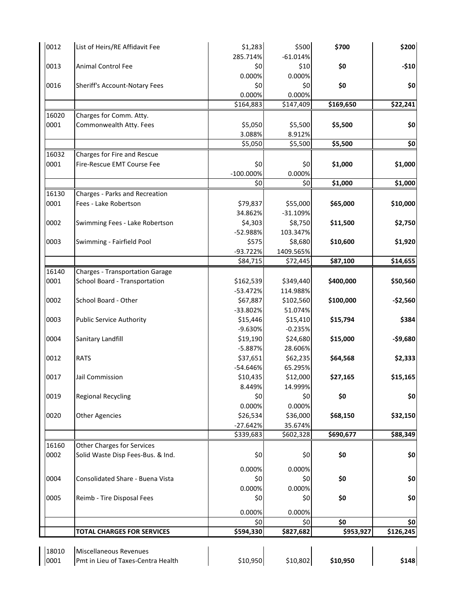| 0012  | List of Heirs/RE Affidavit Fee         | \$1,283<br>285.714% | \$500<br>$-61.014%$ | \$700     | \$200            |
|-------|----------------------------------------|---------------------|---------------------|-----------|------------------|
|       |                                        |                     |                     |           |                  |
| 0013  | Animal Control Fee                     | \$0                 | \$10                | \$0       | $-$10$           |
|       |                                        | 0.000%              | 0.000%              |           |                  |
| 0016  | Sheriff's Account-Notary Fees          | \$0                 | \$0                 | \$0       | \$0              |
|       |                                        | 0.000%              | 0.000%              |           |                  |
|       |                                        | \$164,883           | \$147,409           | \$169,650 | \$22,241         |
| 16020 | Charges for Comm. Atty.                |                     |                     |           |                  |
| 0001  | Commonwealth Atty. Fees                | \$5,050             | \$5,500             | \$5,500   | \$0              |
|       |                                        | 3.088%              | 8.912%              |           |                  |
|       |                                        | \$5,050             | \$5,500             | \$5,500   | \$0              |
| 16032 | Charges for Fire and Rescue            |                     |                     |           |                  |
| 0001  | Fire-Rescue EMT Course Fee             | \$0                 | \$0                 | \$1,000   | \$1,000          |
|       |                                        | $-100.000\%$        | 0.000%              |           |                  |
|       |                                        | \$0                 | \$0                 | \$1,000   | \$1,000          |
| 16130 | Charges - Parks and Recreation         |                     |                     |           |                  |
| 0001  | Fees - Lake Robertson                  | \$79,837            | \$55,000            | \$65,000  | \$10,000         |
|       |                                        | 34.862%             | $-31.109%$          |           |                  |
| 0002  | Swimming Fees - Lake Robertson         | \$4,303             | \$8,750             | \$11,500  | \$2,750          |
|       |                                        | -52.988%            | 103.347%            |           |                  |
| 0003  | Swimming - Fairfield Pool              | \$575               | \$8,680             | \$10,600  | \$1,920          |
|       |                                        | -93.722%            | 1409.565%           |           |                  |
|       |                                        | \$84,715            | \$72,445            | \$87,100  | \$14,655         |
| 16140 | <b>Charges - Transportation Garage</b> |                     |                     |           |                  |
| 0001  | School Board - Transportation          | \$162,539           | \$349,440           | \$400,000 |                  |
|       |                                        |                     |                     |           | \$50,560         |
| 0002  |                                        | $-53.472%$          | 114.988%            |           |                  |
|       | School Board - Other                   | \$67,887            | \$102,560           | \$100,000 | $-$2,560$        |
|       |                                        | -33.802%            | 51.074%             |           |                  |
| 0003  | <b>Public Service Authority</b>        | \$15,446            | \$15,410            | \$15,794  | \$384            |
|       |                                        | $-9.630%$           | $-0.235%$           |           |                  |
| 0004  | Sanitary Landfill                      | \$19,190            | \$24,680            | \$15,000  | $-$9,680$        |
|       |                                        | $-5.887%$           | 28.606%             |           |                  |
| 0012  | <b>RATS</b>                            | \$37,651            | \$62,235            | \$64,568  | \$2,333          |
|       |                                        | -54.646%            | 65.295%             |           |                  |
| 0017  | Jail Commission                        | \$10,435            | \$12,000            | \$27,165  | \$15,165         |
|       |                                        | 8.449%              | 14.999%             |           |                  |
| 0019  | <b>Regional Recycling</b>              | \$0                 | \$0                 | \$0       | \$0              |
|       |                                        | 0.000%              | 0.000%              |           |                  |
| 0020  | <b>Other Agencies</b>                  | \$26,534            | \$36,000            | \$68,150  | \$32,150         |
|       |                                        | $-27.642%$          | 35.674%             |           |                  |
|       |                                        | \$339,683           | \$602,328           | \$690,677 | \$88,349         |
| 16160 | <b>Other Charges for Services</b>      |                     |                     |           |                  |
| 0002  | Solid Waste Disp Fees-Bus. & Ind.      | \$0                 | \$0                 | \$0       | \$0              |
|       |                                        |                     |                     |           |                  |
|       |                                        | 0.000%              | 0.000%              |           |                  |
| 0004  | Consolidated Share - Buena Vista       | \$0                 | \$0                 | \$0       | \$0              |
|       |                                        | 0.000%              | 0.000%              |           |                  |
| 0005  | Reimb - Tire Disposal Fees             | \$0                 | \$0                 | \$0       | \$0              |
|       |                                        | 0.000%              | 0.000%              |           |                  |
|       |                                        |                     |                     | \$0       |                  |
|       |                                        | \$0                 | \$0                 | \$953,927 | \$0<br>\$126,245 |
|       | <b>TOTAL CHARGES FOR SERVICES</b>      | \$594,330           | \$827,682           |           |                  |
|       |                                        |                     |                     |           |                  |
| 18010 | Miscellaneous Revenues                 |                     |                     |           |                  |
| 0001  | Pmt in Lieu of Taxes-Centra Health     | \$10,950            | \$10,802            | \$10,950  | \$148            |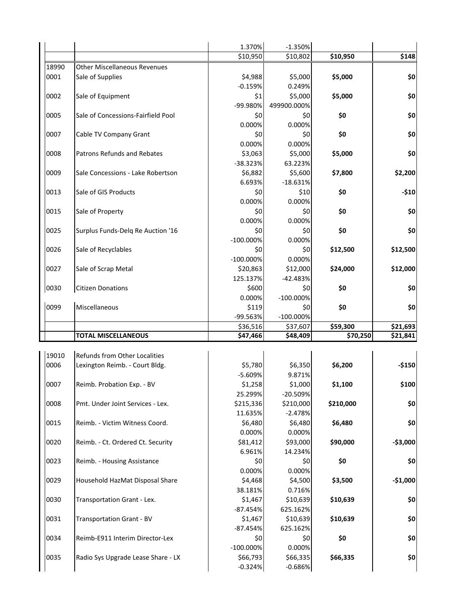|       |                                     | 1.370%       | $-1.350%$    |           |           |
|-------|-------------------------------------|--------------|--------------|-----------|-----------|
|       |                                     | \$10,950     | \$10,802     | \$10,950  | \$148     |
| 18990 | <b>Other Miscellaneous Revenues</b> |              |              |           |           |
| 0001  | Sale of Supplies                    | \$4,988      | \$5,000      | \$5,000   | \$0       |
|       |                                     | $-0.159%$    | 0.249%       |           |           |
| 0002  | Sale of Equipment                   | \$1          | \$5,000      | \$5,000   | \$0       |
|       |                                     | -99.980%     | 499900.000%  |           |           |
| 0005  | Sale of Concessions-Fairfield Pool  | \$0          | \$0          | \$0       | \$0       |
|       |                                     | 0.000%       | 0.000%       |           |           |
| 0007  | Cable TV Company Grant              | \$0          | \$0          | \$0       | \$0       |
|       |                                     | 0.000%       | 0.000%       |           |           |
| 0008  | Patrons Refunds and Rebates         | \$3,063      | \$5,000      | \$5,000   | \$0       |
|       |                                     | -38.323%     | 63.223%      |           |           |
| 0009  | Sale Concessions - Lake Robertson   | \$6,882      | \$5,600      | \$7,800   | \$2,200   |
|       |                                     | 6.693%       | $-18.631%$   |           |           |
| 0013  | Sale of GIS Products                | \$0          | \$10         | \$0       | $-$10$    |
|       |                                     | 0.000%       | 0.000%       |           |           |
| 0015  | Sale of Property                    | \$0          | \$0          | \$0       | \$0       |
|       |                                     | 0.000%       | 0.000%       |           |           |
| 0025  | Surplus Funds-Delq Re Auction '16   | \$0          | \$0          | \$0       | \$0       |
|       |                                     | $-100.000%$  | 0.000%       |           |           |
| 0026  | Sale of Recyclables                 | \$0          | \$0          | \$12,500  | \$12,500  |
|       |                                     | $-100.000%$  | 0.000%       |           |           |
| 0027  | Sale of Scrap Metal                 | \$20,863     | \$12,000     | \$24,000  | \$12,000  |
|       |                                     | 125.137%     | $-42.483%$   |           |           |
| 0030  | <b>Citizen Donations</b>            | \$600        | \$0          | \$0       | \$0       |
|       |                                     | 0.000%       | $-100.000\%$ |           |           |
| 0099  | Miscellaneous                       | \$119        | \$0          | \$0       | \$0       |
|       |                                     | -99.563%     | $-100.000%$  |           |           |
|       |                                     | \$36,516     | \$37,607     | \$59,300  | \$21,693  |
|       | <b>TOTAL MISCELLANEOUS</b>          | \$47,466     | \$48,409     | \$70,250  | \$21,841  |
|       |                                     |              |              |           |           |
| 19010 | Refunds from Other Localities       |              |              |           |           |
| 0006  | Lexington Reimb. - Court Bldg.      | \$5,780      | \$6,350      | \$6,200   | $-$150$   |
|       |                                     | $-5.609%$    | 9.871%       |           |           |
| 0007  | Reimb. Probation Exp. - BV          | \$1,258      | \$1,000      | \$1,100   | \$100     |
|       |                                     | 25.299%      | $-20.509%$   |           |           |
| 0008  | Pmt. Under Joint Services - Lex.    | \$215,336    | \$210,000    | \$210,000 | \$0       |
|       |                                     | 11.635%      | $-2.478%$    |           |           |
| 0015  | Reimb. - Victim Witness Coord.      | \$6,480      | \$6,480      | \$6,480   | \$0       |
|       |                                     | 0.000%       | 0.000%       |           |           |
| 0020  | Reimb. - Ct. Ordered Ct. Security   | \$81,412     | \$93,000     | \$90,000  | $-$3,000$ |
|       |                                     | 6.961%       | 14.234%      |           |           |
| 0023  | Reimb. - Housing Assistance         | \$0          | \$0          | \$0       | \$0       |
|       |                                     | 0.000%       | 0.000%       |           |           |
| 0029  | Household HazMat Disposal Share     | \$4,468      | \$4,500      | \$3,500   | $-$1,000$ |
|       |                                     | 38.181%      | 0.716%       |           |           |
| 0030  | Transportation Grant - Lex.         | \$1,467      | \$10,639     | \$10,639  | \$0       |
|       |                                     | $-87.454%$   | 625.162%     |           |           |
| 0031  | Transportation Grant - BV           | \$1,467      | \$10,639     | \$10,639  | \$0       |
|       |                                     | $-87.454%$   | 625.162%     |           |           |
| 0034  | Reimb-E911 Interim Director-Lex     | \$0          | \$0          | \$0       | \$0       |
|       |                                     | $-100.000\%$ | 0.000%       |           |           |
| 0035  | Radio Sys Upgrade Lease Share - LX  | \$66,793     | \$66,335     | \$66,335  | \$0       |
|       |                                     | $-0.324%$    | $-0.686%$    |           |           |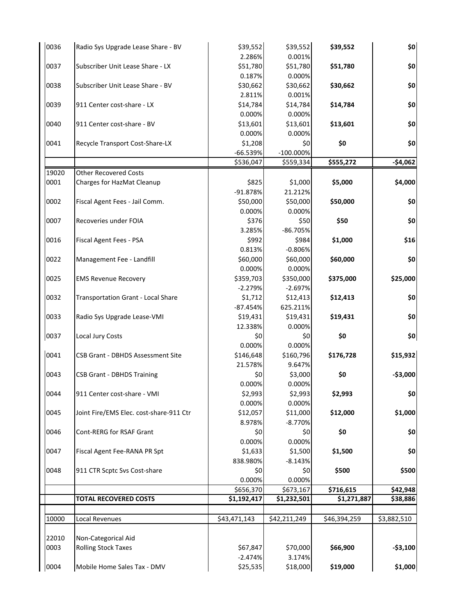| 0036  | Radio Sys Upgrade Lease Share - BV        | \$39,552     | \$39,552     | \$39,552     | \$0         |
|-------|-------------------------------------------|--------------|--------------|--------------|-------------|
|       |                                           | 2.286%       | 0.001%       |              |             |
| 0037  | Subscriber Unit Lease Share - LX          | \$51,780     | \$51,780     | \$51,780     | \$0         |
|       |                                           | 0.187%       | 0.000%       |              |             |
| 0038  | Subscriber Unit Lease Share - BV          | \$30,662     | \$30,662     | \$30,662     | \$0         |
|       |                                           | 2.811%       | 0.001%       |              |             |
| 0039  | 911 Center cost-share - LX                | \$14,784     | \$14,784     | \$14,784     | \$0         |
|       |                                           | 0.000%       | 0.000%       |              |             |
| 0040  | 911 Center cost-share - BV                | \$13,601     | \$13,601     | \$13,601     | \$0         |
|       |                                           | 0.000%       | 0.000%       |              |             |
| 0041  | Recycle Transport Cost-Share-LX           | \$1,208      | \$0          | \$0          | \$0         |
|       |                                           | -66.539%     | $-100.000\%$ |              |             |
|       |                                           | \$536,047    | \$559,334    | \$555,272    | $-$4,062$   |
| 19020 | <b>Other Recovered Costs</b>              |              |              |              |             |
| 0001  | Charges for HazMat Cleanup                | \$825        | \$1,000      | \$5,000      | \$4,000     |
|       |                                           | -91.878%     | 21.212%      |              |             |
| 0002  | Fiscal Agent Fees - Jail Comm.            | \$50,000     | \$50,000     | \$50,000     | \$0         |
|       |                                           | 0.000%       | 0.000%       |              |             |
| 0007  | Recoveries under FOIA                     | \$376        | \$50         | \$50         | \$0         |
|       |                                           | 3.285%       | -86.705%     |              |             |
| 0016  | Fiscal Agent Fees - PSA                   | \$992        | \$984        | \$1,000      | \$16        |
|       |                                           | 0.813%       | $-0.806%$    |              |             |
| 0022  | Management Fee - Landfill                 | \$60,000     | \$60,000     | \$60,000     | \$0         |
|       |                                           | 0.000%       | 0.000%       |              |             |
| 0025  | <b>EMS Revenue Recovery</b>               | \$359,703    | \$350,000    | \$375,000    | \$25,000    |
|       |                                           | $-2.279%$    | $-2.697%$    |              |             |
| 0032  | <b>Transportation Grant - Local Share</b> | \$1,712      | \$12,413     | \$12,413     | \$0         |
|       |                                           | $-87.454%$   | 625.211%     |              |             |
| 0033  | Radio Sys Upgrade Lease-VMI               | \$19,431     | \$19,431     | \$19,431     | \$0         |
|       |                                           | 12.338%      | 0.000%       |              |             |
| 0037  | Local Jury Costs                          | \$0          | \$0          | \$0          | \$0         |
|       |                                           | 0.000%       | 0.000%       |              |             |
| 0041  | <b>CSB Grant - DBHDS Assessment Site</b>  | \$146,648    | \$160,796    | \$176,728    | \$15,932    |
|       |                                           | 21.578%      | 9.647%       |              |             |
| 0043  | <b>CSB Grant - DBHDS Training</b>         | \$0          | \$3,000      | \$0          | $-$3,000$   |
|       |                                           | 0.000%       | 0.000%       |              |             |
| 0044  | 911 Center cost-share - VMI               | \$2,993      | \$2,993      | \$2,993      | \$0         |
|       |                                           | 0.000%       | 0.000%       |              |             |
| 0045  | Joint Fire/EMS Elec. cost-share-911 Ctr   | \$12,057     | \$11,000     | \$12,000     | \$1,000     |
|       |                                           | 8.978%       | $-8.770%$    |              |             |
| 0046  | Cont-RERG for RSAF Grant                  | \$0          | \$0          | \$0          | \$0         |
|       |                                           | 0.000%       | 0.000%       |              |             |
| 0047  | Fiscal Agent Fee-RANA PR Spt              | \$1,633      | \$1,500      | \$1,500      | \$0         |
|       |                                           | 838.980%     | $-8.143%$    |              |             |
| 0048  | 911 CTR Scptc Svs Cost-share              | \$0          | \$0          | \$500        | \$500       |
|       |                                           | 0.000%       | 0.000%       |              |             |
|       |                                           | \$656,370    | \$673,167    | \$716,615    | \$42,948    |
|       | <b>TOTAL RECOVERED COSTS</b>              | \$1,192,417  | \$1,232,501  | \$1,271,887  | \$38,886    |
|       |                                           |              |              |              |             |
| 10000 | Local Revenues                            | \$43,471,143 | \$42,211,249 | \$46,394,259 | \$3,882,510 |
|       |                                           |              |              |              |             |
| 22010 | Non-Categorical Aid                       |              |              |              |             |
| 0003  | <b>Rolling Stock Taxes</b>                | \$67,847     | \$70,000     | \$66,900     | $-$3,100$   |
|       |                                           | $-2.474%$    | 3.174%       |              |             |
| 0004  | Mobile Home Sales Tax - DMV               | \$25,535     | \$18,000     | \$19,000     | \$1,000     |
|       |                                           |              |              |              |             |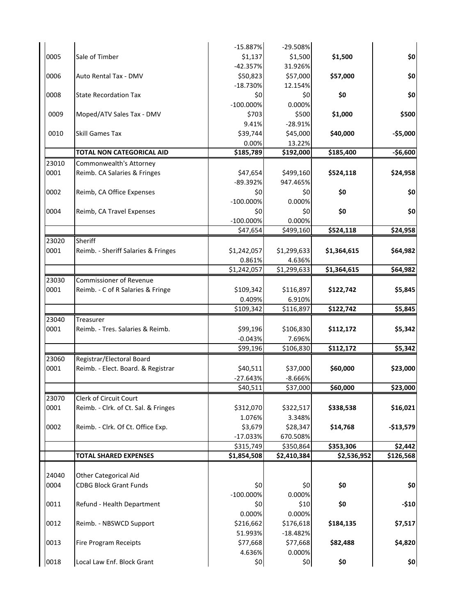|       |                                      | $-15.887%$    | $-29.508%$    |             |            |
|-------|--------------------------------------|---------------|---------------|-------------|------------|
| 0005  | Sale of Timber                       | \$1,137       | \$1,500       | \$1,500     | \$0        |
|       |                                      | $-42.357%$    | 31.926%       |             |            |
| 0006  | Auto Rental Tax - DMV                | \$50,823      | \$57,000      | \$57,000    | \$0        |
|       |                                      |               |               |             |            |
|       |                                      | $-18.730%$    | 12.154%       |             |            |
| 0008  | <b>State Recordation Tax</b>         | \$0           | \$0           | \$0         | \$0        |
|       |                                      | $-100.000\%$  | 0.000%        |             |            |
| 0009  | Moped/ATV Sales Tax - DMV            | \$703         | \$500         | \$1,000     | \$500      |
|       |                                      | 9.41%         | $-28.91%$     |             |            |
| 0010  | <b>Skill Games Tax</b>               | \$39,744      | \$45,000      | \$40,000    | $-$5,000$  |
|       |                                      | 0.00%         | 13.22%        |             |            |
|       | <b>TOTAL NON CATEGORICAL AID</b>     | \$185,789     | \$192,000     | \$185,400   | $-$6,600$  |
| 23010 | Commonwealth's Attorney              |               |               |             |            |
| 0001  | Reimb. CA Salaries & Fringes         | \$47,654      | \$499,160     | \$524,118   | \$24,958   |
|       |                                      | -89.392%      | 947.465%      |             |            |
| 0002  | Reimb, CA Office Expenses            | \$0           | \$0           | \$0         | \$0        |
|       |                                      | $-100.000\%$  | 0.000%        |             |            |
| 0004  | Reimb, CA Travel Expenses            | \$0           | \$0           | \$0         | \$0        |
|       |                                      | $-100.000\%$  | 0.000%        |             |            |
|       |                                      | \$47,654      | \$499,160     | \$524,118   | \$24,958   |
|       |                                      |               |               |             |            |
| 23020 | Sheriff                              |               |               |             |            |
| 0001  | Reimb. - Sheriff Salaries & Fringes  | \$1,242,057   | \$1,299,633   | \$1,364,615 | \$64,982   |
|       |                                      | 0.861%        | 4.636%        |             |            |
|       |                                      | \$1,242,057   | \$1,299,633   | \$1,364,615 | \$64,982   |
| 23030 | <b>Commissioner of Revenue</b>       |               |               |             |            |
| 0001  | Reimb. - C of R Salaries & Fringe    | \$109,342     | \$116,897     | \$122,742   | \$5,845    |
|       |                                      | 0.409%        | 6.910%        |             |            |
|       |                                      | \$109,342     | \$116,897     | \$122,742   | \$5,845    |
| 23040 | Treasurer                            |               |               |             |            |
| 0001  | Reimb. - Tres. Salaries & Reimb.     | \$99,196      | \$106,830     | \$112,172   | \$5,342    |
|       |                                      | $-0.043%$     | 7.696%        |             |            |
|       |                                      | \$99,196      | \$106,830     | \$112,172   | \$5,342    |
|       |                                      |               |               |             |            |
| 23060 | Registrar/Electoral Board            |               |               |             |            |
| 0001  | Reimb. - Elect. Board. & Registrar   | \$40,511      | \$37,000      | \$60,000    | \$23,000   |
|       |                                      | $-27.643%$    | $-8.666%$     |             |            |
|       |                                      | \$40,511      | \$37,000      | \$60,000    | \$23,000   |
| 23070 | Clerk of Circuit Court               |               |               |             |            |
| 0001  | Reimb. - Clrk. of Ct. Sal. & Fringes | \$312,070     | \$322,517     | \$338,538   | \$16,021   |
|       |                                      | 1.076%        | 3.348%        |             |            |
| 0002  | Reimb. - Clrk. Of Ct. Office Exp.    | \$3,679       | \$28,347      | \$14,768    | $-$13,579$ |
|       |                                      | $-17.033%$    | 670.508%      |             |            |
|       |                                      | \$315,749     | \$350,864     | \$353,306   | \$2,442    |
|       | <b>TOTAL SHARED EXPENSES</b>         | \$1,854,508   | \$2,410,384   | \$2,536,952 | \$126,568  |
|       |                                      |               |               |             |            |
| 24040 | <b>Other Categorical Aid</b>         |               |               |             |            |
| 0004  | <b>CDBG Block Grant Funds</b>        | \$0           | \$0           | \$0         | \$0        |
|       |                                      | $-100.000\%$  | 0.000%        |             |            |
| 0011  | Refund - Health Department           | \$0           | \$10          | \$0         | $-$10$     |
|       |                                      |               |               |             |            |
|       |                                      | 0.000%        | 0.000%        |             |            |
| 0012  | Reimb. - NBSWCD Support              | \$216,662     | \$176,618     | \$184,135   | \$7,517    |
|       |                                      | 51.993%       | $-18.482%$    |             |            |
| 0013  | <b>Fire Program Receipts</b>         | \$77,668      | \$77,668      | \$82,488    | \$4,820    |
|       |                                      |               |               |             |            |
| 0018  | Local Law Enf. Block Grant           | 4.636%<br>\$0 | 0.000%<br>\$0 | \$0         | \$0        |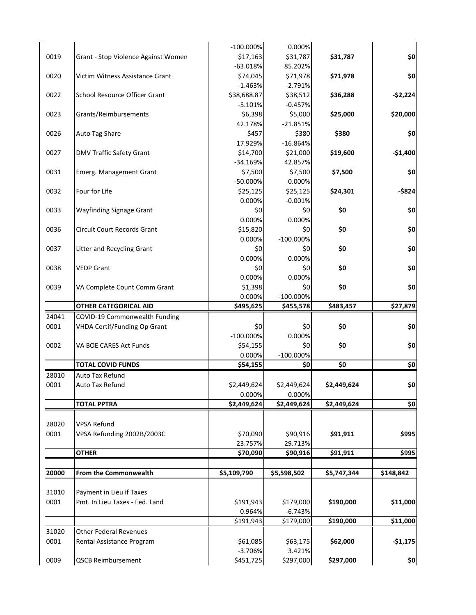|       |                                     | $-100.000\%$          | 0.000%                |             |                                                    |
|-------|-------------------------------------|-----------------------|-----------------------|-------------|----------------------------------------------------|
| 0019  | Grant - Stop Violence Against Women | \$17,163              | \$31,787              | \$31,787    | \$0                                                |
|       |                                     | $-63.018%$            | 85.202%               |             |                                                    |
| 0020  | Victim Witness Assistance Grant     | \$74,045              | \$71,978              | \$71,978    | \$0                                                |
|       |                                     | $-1.463%$             | $-2.791%$             |             |                                                    |
| 0022  | School Resource Officer Grant       | \$38,688.87           | \$38,512              | \$36,288    | $-$2,224$                                          |
|       |                                     | $-5.101%$             | $-0.457%$             |             |                                                    |
| 0023  | Grants/Reimbursements               | \$6,398               | \$5,000               | \$25,000    | \$20,000                                           |
|       |                                     | 42.178%               | $-21.851%$            |             |                                                    |
| 0026  | Auto Tag Share                      | \$457                 | \$380                 | \$380       | \$0                                                |
|       |                                     | 17.929%               | $-16.864%$            |             |                                                    |
| 0027  | <b>DMV Traffic Safety Grant</b>     | \$14,700              | \$21,000              | \$19,600    | $-$1,400$                                          |
|       |                                     | $-34.169%$            | 42.857%               |             |                                                    |
| 0031  | Emerg. Management Grant             | \$7,500               | \$7,500               | \$7,500     | \$0                                                |
|       |                                     | -50.000%              | 0.000%                |             |                                                    |
| 0032  | Four for Life                       | \$25,125              | \$25,125              | \$24,301    | $-5824$                                            |
|       |                                     | 0.000%                | $-0.001%$             |             |                                                    |
| 0033  | <b>Wayfinding Signage Grant</b>     | \$0                   | \$0                   | \$0         | \$0                                                |
|       |                                     | 0.000%                | 0.000%                |             |                                                    |
| 0036  | Circuit Court Records Grant         | \$15,820              | \$0                   | \$0         | \$0                                                |
|       |                                     | 0.000%                | $-100.000\%$          |             |                                                    |
| 0037  | Litter and Recycling Grant          | \$0                   | \$0                   | \$0         | \$0                                                |
|       |                                     | 0.000%                | 0.000%                |             |                                                    |
| 0038  | <b>VEDP Grant</b>                   | \$0                   | \$0                   | \$0         | \$0                                                |
|       |                                     | 0.000%                | 0.000%                |             |                                                    |
| 0039  | VA Complete Count Comm Grant        | \$1,398               | \$0                   | \$0         | \$0                                                |
|       |                                     | 0.000%                | $-100.000\%$          |             |                                                    |
|       | <b>OTHER CATEGORICAL AID</b>        | \$495,625             | \$455,578             | \$483,457   | \$27,879                                           |
| 24041 | COVID-19 Commonwealth Funding       |                       |                       |             |                                                    |
|       |                                     |                       |                       |             |                                                    |
| 0001  |                                     | \$0                   | \$0                   | \$0         |                                                    |
|       | VHDA Certif/Funding Op Grant        | $-100.000\%$          | 0.000%                |             |                                                    |
| 0002  | VA BOE CARES Act Funds              |                       | \$0                   | \$0         |                                                    |
|       |                                     | \$54,155<br>0.000%    | $-100.000\%$          |             |                                                    |
|       | <b>TOTAL COVID FUNDS</b>            | \$54,155              | \$0                   | \$0         |                                                    |
| 28010 | Auto Tax Refund                     |                       |                       |             |                                                    |
|       | Auto Tax Refund                     |                       |                       |             |                                                    |
| 0001  |                                     | \$2,449,624           | \$2,449,624           | \$2,449,624 |                                                    |
|       | <b>TOTAL PPTRA</b>                  | 0.000%<br>\$2,449,624 | 0.000%<br>\$2,449,624 | \$2,449,624 |                                                    |
|       |                                     |                       |                       |             |                                                    |
|       | <b>VPSA Refund</b>                  |                       |                       |             |                                                    |
| 28020 |                                     |                       |                       |             |                                                    |
| 0001  | VPSA Refunding 2002B/2003C          | \$70,090              | \$90,916<br>29.713%   | \$91,911    |                                                    |
|       | <b>OTHER</b>                        | 23.757%<br>\$70,090   | \$90,916              | \$91,911    |                                                    |
|       |                                     |                       |                       |             | \$0<br>\$0<br>\$0<br>\$0<br>\$0]<br>\$995<br>\$995 |
| 20000 | From the Commonwealth               | \$5,109,790           | \$5,598,502           | \$5,747,344 | \$148,842                                          |
|       |                                     |                       |                       |             |                                                    |
| 31010 | Payment in Lieu if Taxes            |                       |                       |             |                                                    |
| 0001  | Pmt. In Lieu Taxes - Fed. Land      | \$191,943             | \$179,000             | \$190,000   |                                                    |
|       |                                     | 0.964%                | $-6.743%$             |             |                                                    |
|       |                                     | \$191,943             | \$179,000             | \$190,000   |                                                    |
| 31020 | <b>Other Federal Revenues</b>       |                       |                       |             |                                                    |
| 0001  | Rental Assistance Program           | \$61,085              | \$63,175              | \$62,000    |                                                    |
|       |                                     | $-3.706%$             | 3.421%                |             | \$11,000<br>\$11,000<br>$-$1,175$                  |